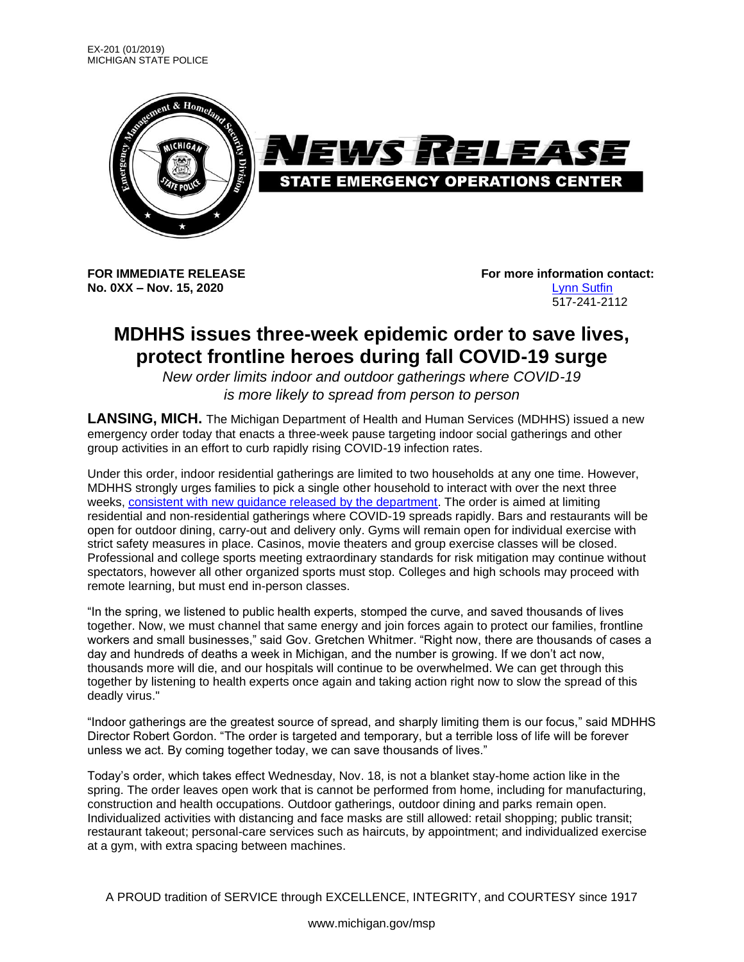

**No. 0XX – Nov. 15, 2020** Lynn Sutfin

**FOR IMMEDIATE RELEASE For more information contact:** 517-241-2112

## **MDHHS issues three-week epidemic order to save lives, protect frontline heroes during fall COVID-19 surge**

*New order limits indoor and outdoor gatherings where COVID-19 is more likely to spread from person to person*

**LANSING, MICH.** The Michigan Department of Health and Human Services (MDHHS) issued a new emergency order today that enacts a three-week pause targeting indoor social gatherings and other group activities in an effort to curb rapidly rising COVID-19 infection rates.

Under this order, indoor residential gatherings are limited to two households at any one time. However, MDHHS strongly urges families to pick a single other household to interact with over the next three weeks, consistent with new guidance released by the department. The order is aimed at limiting residential and non-residential gatherings where COVID-19 spreads rapidly. Bars and restaurants will be open for outdoor dining, carry-out and delivery only. Gyms will remain open for individual exercise with strict safety measures in place. Casinos, movie theaters and group exercise classes will be closed. Professional and college sports meeting extraordinary standards for risk mitigation may continue without spectators, however all other organized sports must stop. Colleges and high schools may proceed with remote learning, but must end in-person classes.

"In the spring, we listened to public health experts, stomped the curve, and saved thousands of lives together. Now, we must channel that same energy and join forces again to protect our families, frontline workers and small businesses," said Gov. Gretchen Whitmer. "Right now, there are thousands of cases a day and hundreds of deaths a week in Michigan, and the number is growing. If we don't act now, thousands more will die, and our hospitals will continue to be overwhelmed. We can get through this together by listening to health experts once again and taking action right now to slow the spread of this deadly virus."

"Indoor gatherings are the greatest source of spread, and sharply limiting them is our focus," said MDHHS Director Robert Gordon. "The order is targeted and temporary, but a terrible loss of life will be forever unless we act. By coming together today, we can save thousands of lives."

Today's order, which takes effect Wednesday, Nov. 18, is not a blanket stay-home action like in the spring. The order leaves open work that is cannot be performed from home, including for manufacturing, construction and health occupations. Outdoor gatherings, outdoor dining and parks remain open. Individualized activities with distancing and face masks are still allowed: retail shopping; public transit; restaurant takeout; personal-care services such as haircuts, by appointment; and individualized exercise at a gym, with extra spacing between machines.

A PROUD tradition of SERVICE through EXCELLENCE, INTEGRITY, and COURTESY since 1917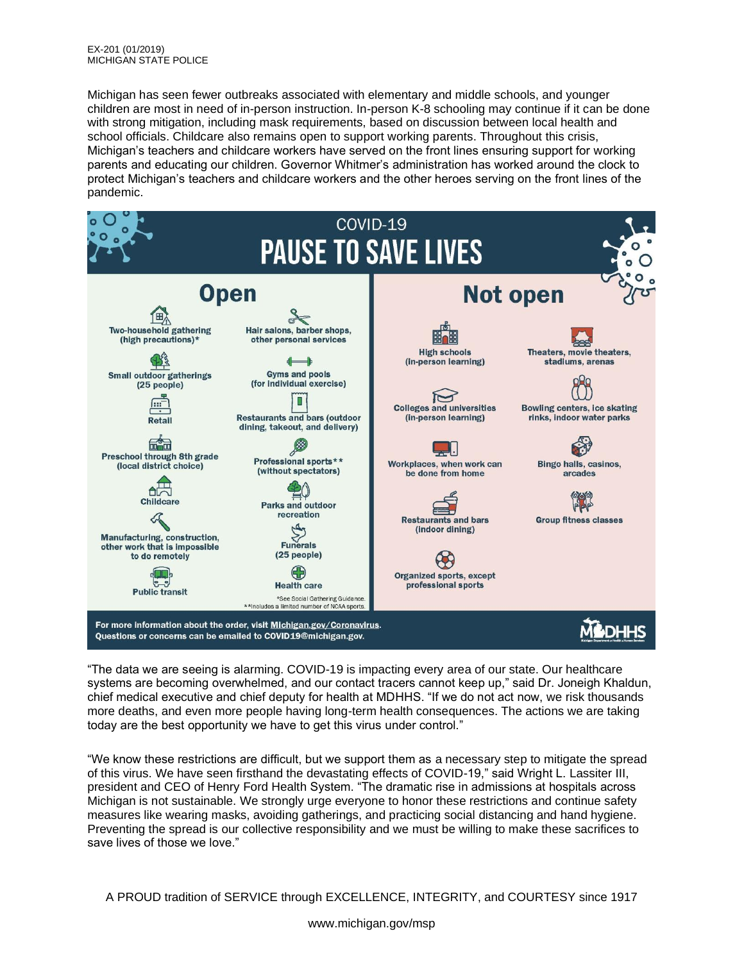Michigan has seen fewer outbreaks associated with elementary and middle schools, and younger children are most in need of in-person instruction. In-person K-8 schooling may continue if it can be done with strong mitigation, including mask requirements, based on discussion between local health and school officials. Childcare also remains open to support working parents. Throughout this crisis, Michigan's teachers and childcare workers have served on the front lines ensuring support for working parents and educating our children. Governor Whitmer's administration has worked around the clock to protect Michigan's teachers and childcare workers and the other heroes serving on the front lines of the pandemic.



"The data we are seeing is alarming. COVID-19 is impacting every area of our state. Our healthcare systems are becoming overwhelmed, and our contact tracers cannot keep up," said Dr. Joneigh Khaldun, chief medical executive and chief deputy for health at MDHHS. "If we do not act now, we risk thousands more deaths, and even more people having long-term health consequences. The actions we are taking today are the best opportunity we have to get this virus under control."

"We know these restrictions are difficult, but we support them as a necessary step to mitigate the spread of this virus. We have seen firsthand the devastating effects of COVID-19," said Wright L. Lassiter III, president and CEO of Henry Ford Health System. "The dramatic rise in admissions at hospitals across Michigan is not sustainable. We strongly urge everyone to honor these restrictions and continue safety measures like wearing masks, avoiding gatherings, and practicing social distancing and hand hygiene. Preventing the spread is our collective responsibility and we must be willing to make these sacrifices to save lives of those we love."

A PROUD tradition of SERVICE through EXCELLENCE, INTEGRITY, and COURTESY since 1917

www.michigan.gov/msp